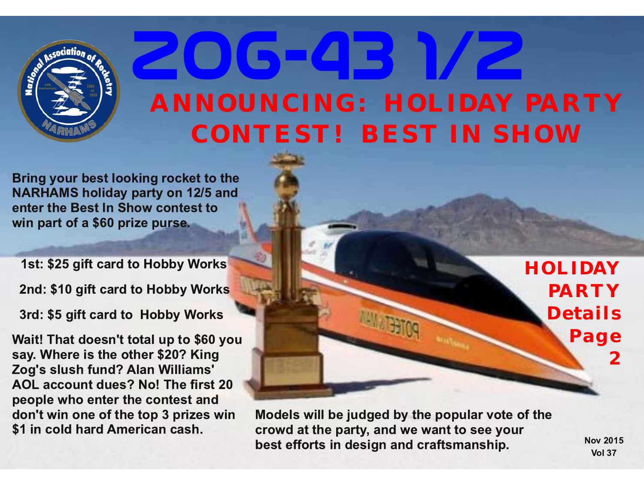

# **Zog-43 1/2** *ANNOUNCING: HOLIDAY PARTY CONTEST! BEST IN SHOW*

Bring your best looking rocket to the NARHAMS holiday party on 12/5 and enter the Best In Show contest to win part of a \$60 prize purse.

1st: \$25 gift card to Hobby Works

2nd: \$10 gift card to Hobby Works

3rd: \$5 gift card to Hobby Works

Wait! That doesn't total up to \$60 you say. Where is the other \$20? King Zog's slush fund? Alan Williams' AOL account dues? No! The first 20 people who enter the contest and don't win one of the top 3 prizes win \$1 in cold hard American cash.

*HOLIDAY PARTY Details Page 2*

Models will be judged by the popular vote of the crowd at the party, and we want to see your best efforts in design and craftsmanship.

Nov 2015 **Vol 37**